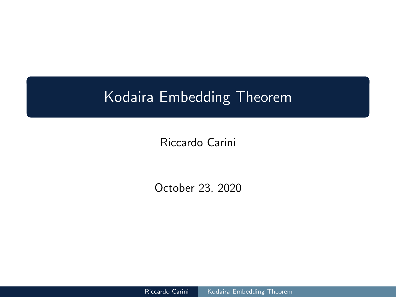<span id="page-0-0"></span>Riccardo Carini

October 23, 2020

Riccardo Carini | [Kodaira Embedding Theorem](#page-36-0)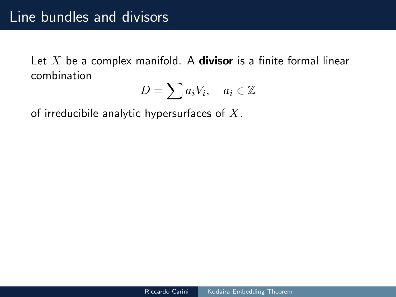Let  $X$  be a complex manifold. A **divisor** is a finite formal linear combination

$$
D = \sum a_i V_i, \quad a_i \in \mathbb{Z}
$$

of irreducibile analytic hypersurfaces of  $X$ .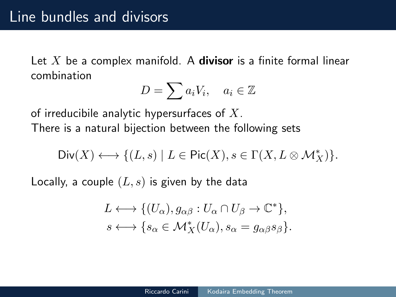Let  $X$  be a complex manifold. A **divisor** is a finite formal linear combination

$$
D = \sum a_i V_i, \quad a_i \in \mathbb{Z}
$$

of irreducibile analytic hypersurfaces of  $X$ .

There is a natural bijection between the following sets

$$
\mathrm{Div}(X) \longleftrightarrow \{(L,s) \mid L \in \mathrm{Pic}(X), s \in \Gamma(X, L \otimes \mathcal{M}^*_X)\}.
$$

Locally, a couple  $(L, s)$  is given by the data

$$
L \longleftrightarrow \{ (U_{\alpha}), g_{\alpha\beta} : U_{\alpha} \cap U_{\beta} \to \mathbb{C}^* \},
$$
  

$$
s \longleftrightarrow \{ s_{\alpha} \in \mathcal{M}_X^*(U_{\alpha}), s_{\alpha} = g_{\alpha\beta} s_{\beta} \}.
$$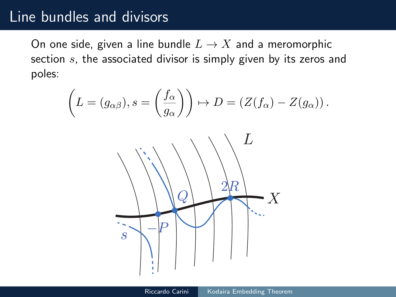### Line bundles and divisors

On one side, given a line bundle  $L \to X$  and a meromorphic section  $s$ , the associated divisor is simply given by its zeros and poles:

$$
\left(L = (g_{\alpha\beta}), s = \left(\frac{f_{\alpha}}{g_{\alpha}}\right)\right) \mapsto D = \left(Z(f_{\alpha}) - Z(g_{\alpha})\right).
$$

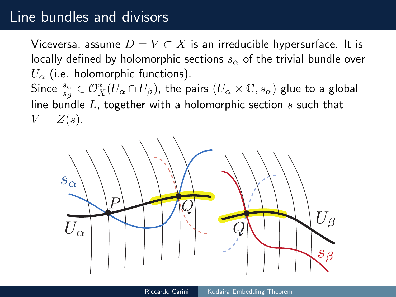### Line bundles and divisors

Viceversa, assume  $D = V \subset X$  is an irreducible hypersurface. It is locally defined by holomorphic sections  $s_{\alpha}$  of the trivial bundle over  $U_{\alpha}$  (i.e. holomorphic functions). Since  $\frac{s_\alpha}{s_\beta}\in\mathcal{O}_X^*(U_\alpha\cap U_\beta)$ , the pairs  $(U_\alpha\times\mathbb{C},s_\alpha)$  glue to a global line bundle  $L$ , together with a holomorphic section  $s$  such that  $V = Z(s)$ .

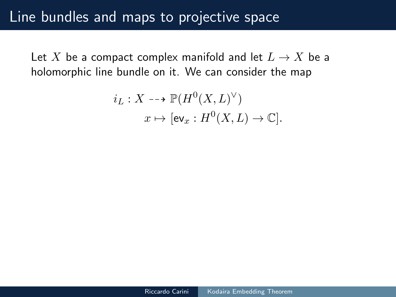Let X be a compact complex manifold and let  $L \to X$  be a holomorphic line bundle on it. We can consider the map

$$
i_L: X \dashrightarrow \mathbb{P}(H^0(X, L)^{\vee})
$$

$$
x \mapsto [\text{ev}_x: H^0(X, L) \to \mathbb{C}].
$$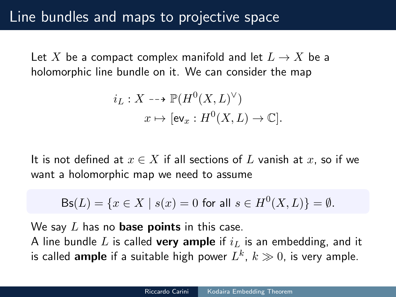Let X be a compact complex manifold and let  $L \to X$  be a holomorphic line bundle on it. We can consider the map

$$
i_L: X \dashrightarrow \mathbb{P}(H^0(X, L)^{\vee})
$$

$$
x \mapsto [\text{ev}_x: H^0(X, L) \to \mathbb{C}].
$$

It is not defined at  $x \in X$  if all sections of L vanish at x, so if we want a holomorphic map we need to assume

$$
Bs(L) = \{ x \in X \mid s(x) = 0 \text{ for all } s \in H^0(X, L) \} = \emptyset.
$$

We say  $L$  has no **base points** in this case.

A line bundle L is called very ample if  $i_L$  is an embedding, and it is called  $\textsf{ample}$  if a suitable high power  $L^k,\,k\gg 0,$  is very ample.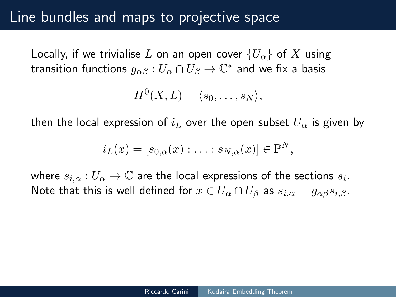### Line bundles and maps to projective space

Locally, if we trivialise L on an open cover  ${U_\alpha}$  of X using transition functions  $g_{\alpha\beta}:U_\alpha\cap U_\beta\to\mathbb{C}^*$  and we fix a basis

$$
H^0(X, L) = \langle s_0, \ldots, s_N \rangle,
$$

then the local expression of  $i_L$  over the open subset  $U_{\alpha}$  is given by

$$
i_L(x) = [s_{0,\alpha}(x) : \ldots : s_{N,\alpha}(x)] \in \mathbb{P}^N,
$$

where  $s_{i,\alpha}:U_\alpha\to\mathbb{C}$  are the local expressions of the sections  $s_i.$ Note that this is well defined for  $x \in U_\alpha \cap U_\beta$  as  $s_{i,\alpha} = g_{\alpha\beta}s_{i,\beta}$ .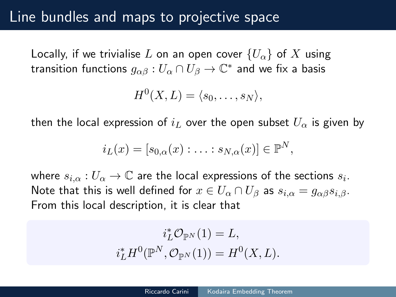### Line bundles and maps to projective space

Locally, if we trivialise L on an open cover  ${U_\alpha}$  of X using transition functions  $g_{\alpha\beta}:U_\alpha\cap U_\beta\to\mathbb{C}^*$  and we fix a basis

$$
H^0(X, L) = \langle s_0, \ldots, s_N \rangle,
$$

then the local expression of  $i_L$  over the open subset  $U_{\alpha}$  is given by

$$
i_L(x) = [s_{0,\alpha}(x) : \ldots : s_{N,\alpha}(x)] \in \mathbb{P}^N,
$$

where  $s_{i,\alpha}:U_\alpha\to\mathbb{C}$  are the local expressions of the sections  $s_i.$ Note that this is well defined for  $x \in U_\alpha \cap U_\beta$  as  $s_{i,\alpha} = g_{\alpha\beta}s_{i,\beta}$ . From this local description, it is clear that

$$
i_L^* \mathcal{O}_{\mathbb{P}^N}(1) = L,
$$
  

$$
i_L^* H^0(\mathbb{P}^N, \mathcal{O}_{\mathbb{P}^N}(1)) = H^0(X, L).
$$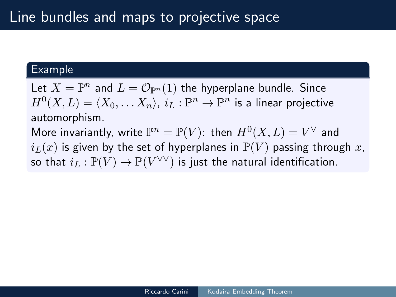#### Example

Let  $X = \mathbb{P}^n$  and  $L = \mathcal{O}_{\mathbb{P}^n}(1)$  the hyperplane bundle. Since  $H^0(X, L) = \langle X_0, \ldots X_n \rangle$ ,  $i_L : \mathbb{P}^n \to \mathbb{P}^n$  is a linear projective automorphism.

More invariantly, write  $\mathbb{P}^n = \mathbb{P}(V)$ : then  $H^0(X, L) = V^\vee$  and  $i_L(x)$  is given by the set of hyperplanes in  $\mathbb{P}(V)$  passing through x, so that  $i_L: \mathbb{P}(V) \to \mathbb{P}(V^{\vee \vee})$  is just the natural identification.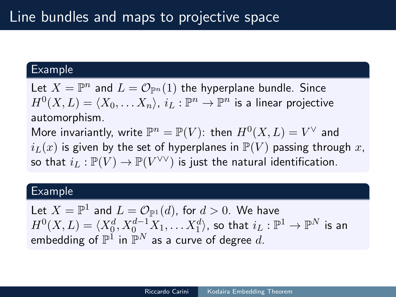#### Example

Let  $X = \mathbb{P}^n$  and  $L = \mathcal{O}_{\mathbb{P}^n}(1)$  the hyperplane bundle. Since  $H^0(X, L) = \langle X_0, \ldots X_n \rangle$ ,  $i_L : \mathbb{P}^n \to \mathbb{P}^n$  is a linear projective automorphism.

More invariantly, write  $\mathbb{P}^n = \mathbb{P}(V)$ : then  $H^0(X, L) = V^\vee$  and  $i_L(x)$  is given by the set of hyperplanes in  $\mathbb{P}(V)$  passing through x, so that  $i_L: \mathbb{P}(V) \to \mathbb{P}(V^{\vee \vee})$  is just the natural identification.

#### Example

Let  $X = \mathbb{P}^1$  and  $L = \mathcal{O}_{\mathbb{P}^1}(d)$ , for  $d > 0$ . We have  $H^0(X, L) = \langle X_{0}^d, X_{0}^{d-1}X_1, \ldots X_{1}^d \rangle$ , so that  $i_L: \mathbb{P}^1 \to \mathbb{P}^N$  is an embedding of  $\mathbb{P}^1$  in  $\mathbb{P}^N$  as a curve of degree  $d.$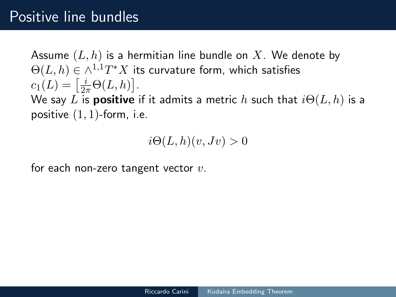## Positive line bundles

Assume  $(L, h)$  is a hermitian line bundle on X. We denote by  $\Theta(L,h)\in\wedge^{1,1}T^*X$  its curvature form, which satisfies  $c_1(L) = \left[\frac{i}{2\pi}\Theta(L, h)\right].$ We say L is **positive** if it admits a metric h such that  $i\Theta(L, h)$  is a

positive  $(1, 1)$ -form, i.e.

 $i\Theta(L, h)(v, Jv) > 0$ 

for each non-zero tangent vector  $v$ .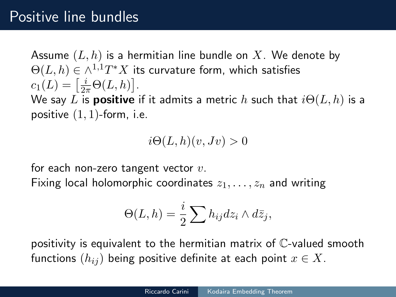## Positive line bundles

Assume  $(L, h)$  is a hermitian line bundle on X. We denote by  $\Theta(L,h)\in\wedge^{1,1}T^*X$  its curvature form, which satisfies  $c_1(L) = \left[\frac{i}{2\pi}\Theta(L, h)\right].$ We say L is **positive** if it admits a metric h such that  $i\Theta(L, h)$  is a

positive  $(1, 1)$ -form, i.e.

 $i\Theta(L, h)(v, Jv) > 0$ 

for each non-zero tangent vector  $v$ .

Fixing local holomorphic coordinates  $z_1, \ldots, z_n$  and writing

$$
\Theta(L,h) = \frac{i}{2} \sum h_{ij} dz_i \wedge d\bar{z}_j,
$$

positivity is equivalent to the hermitian matrix of C-valued smooth functions  $(h_{ij})$  being positive definite at each point  $x \in X$ .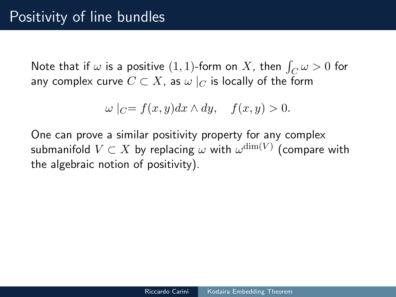Note that if  $\omega$  is a positive  $(1,1)$ -form on  $X$ , then  $\int_C \omega > 0$  for any complex curve  $C \subset X$ , as  $\omega|_C$  is locally of the form

$$
\omega\mid_C = f(x, y)dx \wedge dy, \quad f(x, y) > 0.
$$

One can prove a similar positivity property for any complex submanifold  $V\subset X$  by replacing  $\omega$  with  $\omega^{\dim(V)}$  (compare with the algebraic notion of positivity).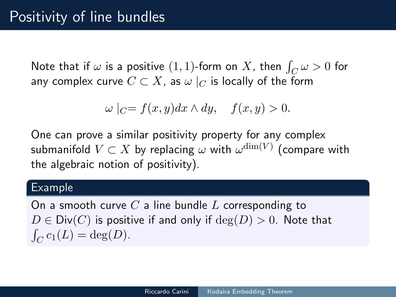Note that if  $\omega$  is a positive  $(1,1)$ -form on  $X$ , then  $\int_C \omega > 0$  for any complex curve  $C \subset X$ , as  $\omega|_C$  is locally of the form

$$
\omega|_{C} = f(x, y)dx \wedge dy, \quad f(x, y) > 0.
$$

One can prove a similar positivity property for any complex submanifold  $V\subset X$  by replacing  $\omega$  with  $\omega^{\dim(V)}$  (compare with the algebraic notion of positivity).

#### Example

On a smooth curve  $C$  a line bundle  $L$  corresponding to  $D \in Div(C)$  is positive if and only if  $deg(D) > 0$ . Note that  $\int_C c_1(L) = \deg(D).$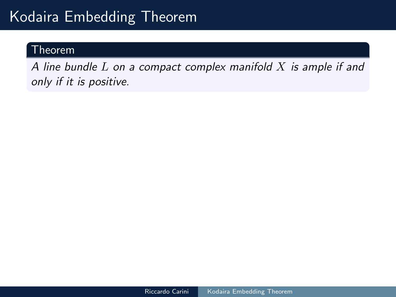#### Theorem

A line bundle  $L$  on a compact complex manifold  $X$  is ample if and only if it is positive.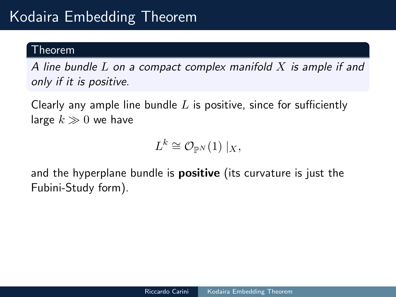#### Theorem

A line bundle  $L$  on a compact complex manifold  $X$  is ample if and only if it is positive.

Clearly any ample line bundle  $L$  is positive, since for sufficiently large  $k \gg 0$  we have

 $L^k \cong \mathcal{O}_{\mathbb{P}^N}(1) \mid_X,$ 

and the hyperplane bundle is **positive** (its curvature is just the Fubini-Study form).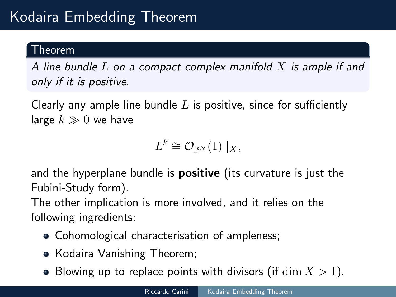#### Theorem

A line bundle  $L$  on a compact complex manifold  $X$  is ample if and only if it is positive.

Clearly any ample line bundle  $L$  is positive, since for sufficiently large  $k \gg 0$  we have

 $L^k \cong \mathcal{O}_{\mathbb{P}^N}(1) \mid_X,$ 

and the hyperplane bundle is **positive** (its curvature is just the Fubini-Study form).

The other implication is more involved, and it relies on the following ingredients:

- Cohomological characterisation of ampleness;
- Kodaira Vanishing Theorem;
- Blowing up to replace points with divisors (if  $\dim X > 1$ ).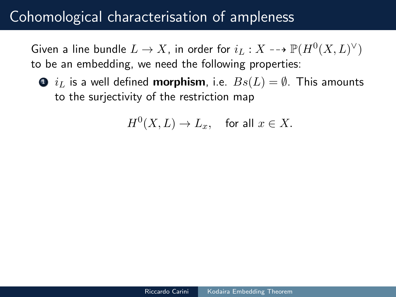Given a line bundle  $L \to X$ , in order for  $i_L : X \dashrightarrow \mathbb{P}(H^0(X, L)^\vee)$ to be an embedding, we need the following properties:

 $\bullet$   $i_L$  is a well defined **morphism**, i.e.  $Bs(L) = \emptyset$ . This amounts to the surjectivity of the restriction map

 $H^0(X,L) \to L_x, \quad \text{for all } x \in X.$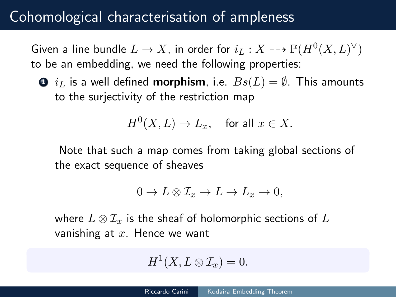Given a line bundle  $L \to X$ , in order for  $i_L : X \dashrightarrow \mathbb{P}(H^0(X, L)^\vee)$ to be an embedding, we need the following properties:

 $\bullet$   $i_L$  is a well defined **morphism**, i.e.  $Bs(L) = \emptyset$ . This amounts to the surjectivity of the restriction map

$$
H^0(X, L) \to L_x, \quad \text{for all } x \in X.
$$

Note that such a map comes from taking global sections of the exact sequence of sheaves

$$
0 \to L \otimes \mathcal{I}_x \to L \to L_x \to 0,
$$

where  $L \otimes \mathcal{I}_x$  is the sheaf of holomorphic sections of  $L$ vanishing at  $x$ . Hence we want

$$
H^1(X, L \otimes \mathcal{I}_x) = 0.
$$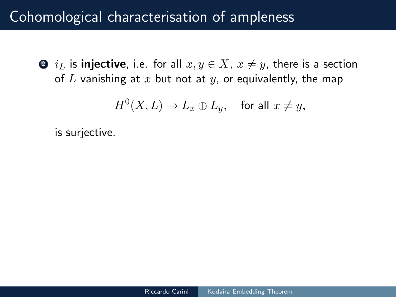$\bullet$  i<sub>L</sub> is injective, i.e. for all  $x, y \in X$ ,  $x \neq y$ , there is a section of L vanishing at x but not at y, or equivalently, the map

 $H^0(X,L) \rightarrow L_x \oplus L_y, \quad \text{for all } x \neq y,$ 

is surjective.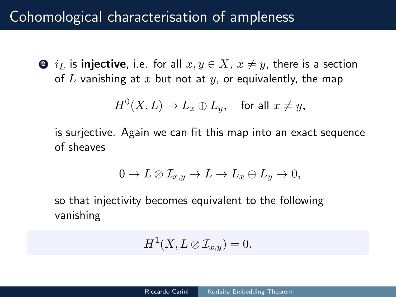$\bullet$   $i_L$  is injective, i.e. for all  $x, y \in X$ ,  $x \neq y$ , there is a section of L vanishing at x but not at y, or equivalently, the map

$$
H^0(X, L) \to L_x \oplus L_y, \quad \text{for all } x \neq y,
$$

is surjective. Again we can fit this map into an exact sequence of sheaves

$$
0 \to L \otimes \mathcal{I}_{x,y} \to L \to L_x \oplus L_y \to 0,
$$

so that injectivity becomes equivalent to the following vanishing

$$
H^1(X, L \otimes \mathcal{I}_{x,y}) = 0.
$$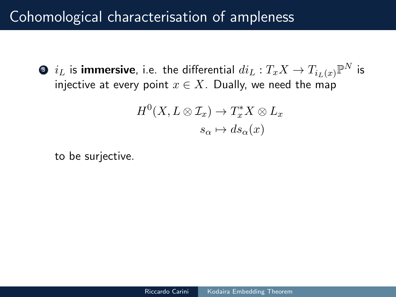$\bullet$   $i_L$  is **immersive**, i.e. the differential  $di_L:T_xX\rightarrow T_{i_L(x)}\mathbb{P}^N$  is injective at every point  $x \in X$ . Dually, we need the map

$$
H^{0}(X, L \otimes \mathcal{I}_{x}) \to T_{x}^{*}X \otimes L_{x}
$$

$$
s_{\alpha} \mapsto ds_{\alpha}(x)
$$

to be surjective.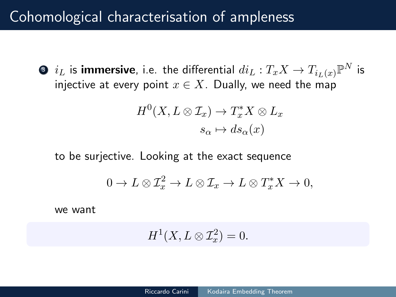$\bullet$   $i_L$  is **immersive**, i.e. the differential  $di_L:T_xX\rightarrow T_{i_L(x)}\mathbb{P}^N$  is injective at every point  $x \in X$ . Dually, we need the map

$$
H^{0}(X, L \otimes \mathcal{I}_{x}) \to T_{x}^{*}X \otimes L_{x}
$$

$$
s_{\alpha} \mapsto ds_{\alpha}(x)
$$

to be surjective. Looking at the exact sequence

$$
0 \to L \otimes \mathcal{I}_x^2 \to L \otimes \mathcal{I}_x \to L \otimes T_x^* X \to 0,
$$

we want

$$
H^1(X, L \otimes \mathcal{I}_x^2) = 0.
$$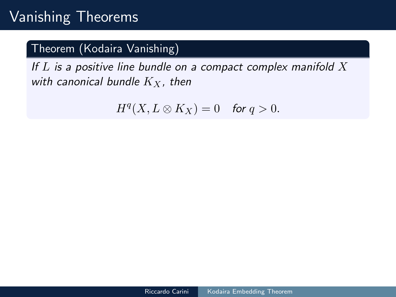# Vanishing Theorems

### Theorem (Kodaira Vanishing)

If  $L$  is a positive line bundle on a compact complex manifold  $X$ with canonical bundle  $K_X$ , then

 $H^q(X, L \otimes K_X) = 0$  for  $q > 0$ .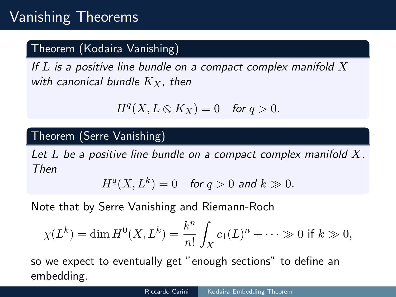### Theorem (Kodaira Vanishing)

If  $L$  is a positive line bundle on a compact complex manifold  $X$ with canonical bundle  $K_X$ , then

$$
H^q(X, L \otimes K_X) = 0 \quad \text{for } q > 0.
$$

### Theorem (Serre Vanishing)

Let  $L$  be a positive line bundle on a compact complex manifold  $X$ . Then

$$
H^q(X, L^k) = 0 \quad \text{for } q > 0 \text{ and } k \gg 0.
$$

Note that by Serre Vanishing and Riemann-Roch

$$
\chi(L^k) = \dim H^0(X, L^k) = \frac{k^n}{n!} \int_X c_1(L)^n + \dots \gg 0 \text{ if } k \gg 0,
$$

so we expect to eventually get "enough sections" to define an embedding.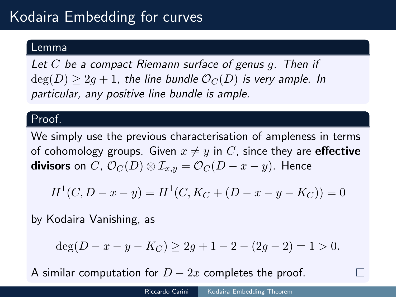# Kodaira Embedding for curves

#### Lemma

Let  $C$  be a compact Riemann surface of genus q. Then if  $deg(D) > 2q + 1$ , the line bundle  $\mathcal{O}_C(D)$  is very ample. In particular, any positive line bundle is ample.

#### Proof.

We simply use the previous characterisation of ampleness in terms of cohomology groups. Given  $x \neq y$  in C, since they are **effective** divisors on C,  $\mathcal{O}_C(D) \otimes \mathcal{I}_{x,y} = \mathcal{O}_C(D-x-y)$ . Hence

$$
H1(C, D - x - y) = H1(C, KC + (D - x - y - KC)) = 0
$$

by Kodaira Vanishing, as

$$
deg(D - x - y - K_C) \ge 2g + 1 - 2 - (2g - 2) = 1 > 0.
$$

A similar computation for  $D-2x$  completes the proof.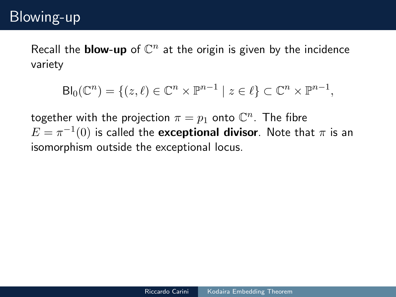### Blowing-up

Recall the **blow-up** of  $\mathbb{C}^n$  at the origin is given by the incidence variety

$$
Bl_0(\mathbb{C}^n) = \{ (z,\ell) \in \mathbb{C}^n \times \mathbb{P}^{n-1} \mid z \in \ell \} \subset \mathbb{C}^n \times \mathbb{P}^{n-1},
$$

together with the projection  $\pi=p_1$  onto  $\mathbb{C}^n$ . The fibre  $E=\pi^{-1}(0)$  is called the  ${\bf exceptional}$  divisor. Note that  $\pi$  is an isomorphism outside the exceptional locus.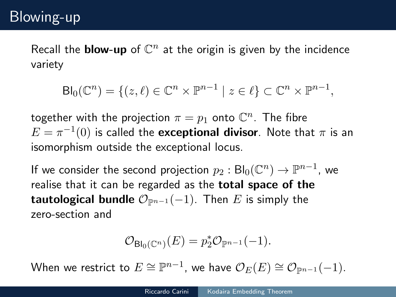Recall the **blow-up** of  $\mathbb{C}^n$  at the origin is given by the incidence variety

$$
Bl_0(\mathbb{C}^n) = \{ (z,\ell) \in \mathbb{C}^n \times \mathbb{P}^{n-1} \mid z \in \ell \} \subset \mathbb{C}^n \times \mathbb{P}^{n-1},
$$

together with the projection  $\pi=p_1$  onto  $\mathbb{C}^n$ . The fibre  $E=\pi^{-1}(0)$  is called the  ${\bf exceptional}$  divisor. Note that  $\pi$  is an isomorphism outside the exceptional locus.

If we consider the second projection  $p_2: \mathsf{Bl}_0(\mathbb{C}^n) \to \mathbb{P}^{n-1}$ , we realise that it can be regarded as the total space of the **tautological bundle**  $\mathcal{O}_{\mathbb{P}^{n-1}}(-1)$ . Then E is simply the zero-section and

$$
\mathcal{O}_{\mathrm{Bl}_0(\mathbb{C}^n)}(E) = p_2^* \mathcal{O}_{\mathbb{P}^{n-1}}(-1).
$$

When we restrict to  $E \cong \mathbb{P}^{n-1}$ , we have  $\mathcal{O}_E(E) \cong \mathcal{O}_{\mathbb{P}^{n-1}}(-1)$ .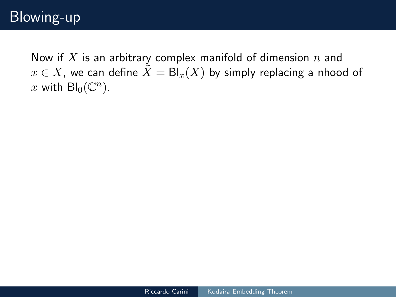Now if  $X$  is an arbitrary complex manifold of dimension  $n$  and  $x \in X$ , we can define  $\tilde{X} = Bl_x(X)$  by simply replacing a nhood of x with  $\text{Bl}_0(\mathbb{C}^n)$ .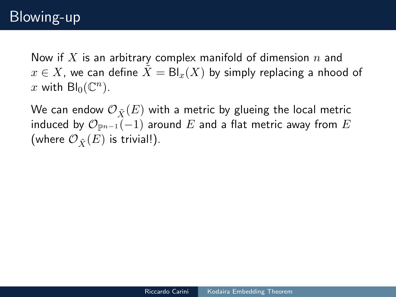Now if X is an arbitrary complex manifold of dimension  $n$  and  $x \in X$ , we can define  $\tilde{X} = Bl_x(X)$  by simply replacing a nhood of x with  $\text{Bl}_0(\mathbb{C}^n)$ .

We can endow  $\mathcal{O}_{\tilde{X}}(E)$  with a metric by glueing the local metric induced by  $\mathcal{O}_{\mathbb{P}^{n-1}}(-1)$  around E and a flat metric away from E (where  $\mathcal{O}_{\tilde{\mathbf{Y}}}(E)$  is trivial!).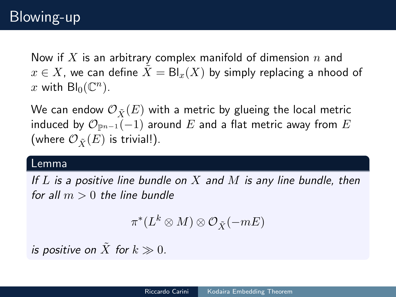Now if  $X$  is an arbitrary complex manifold of dimension  $n$  and  $x \in X$ , we can define  $\tilde{X} = \text{Bl}_x(X)$  by simply replacing a nhood of x with  $\text{Bl}_0(\mathbb{C}^n)$ .

We can endow  $\mathcal{O}_{\tilde{\mathbf{Y}}}(E)$  with a metric by glueing the local metric induced by  $\mathcal{O}_{\mathbb{P}^{n-1}}(-1)$  around E and a flat metric away from E (where  $\mathcal{O}_{\tilde{\mathbf{Y}}}(E)$  is trivial!).

#### Lemma

If  $L$  is a positive line bundle on  $X$  and  $M$  is any line bundle, then for all  $m > 0$  the line bundle

$$
\pi^*(L^k\otimes M)\otimes \mathcal O_{\tilde X}(-mE)
$$

is positive on  $\tilde{X}$  for  $k \gg 0$ .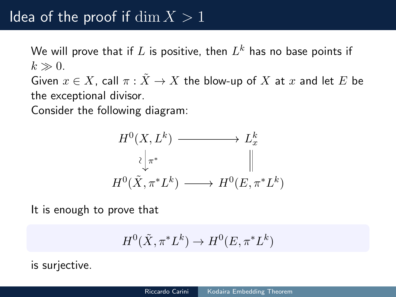# Idea of the proof if  $\dim X > 1$

We will prove that if  $L$  is positive, then  $L^k$  has no base points if  $k \gg 0$ .

Given  $x \in X$ , call  $\pi : \tilde{X} \to X$  the blow-up of X at x and let E be the exceptional divisor.

Consider the following diagram:



It is enough to prove that

$$
H^0(\tilde{X}, \pi^* L^k) \to H^0(E, \pi^* L^k)
$$

is surjective.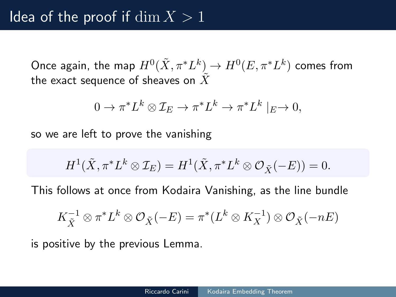Once again, the map  $H^0(\tilde X,\pi^*L^k)\to H^0(E,\pi^*L^k)$  comes from the exact sequence of sheaves on  $X$ 

$$
0 \to \pi^*L^k \otimes \mathcal{I}_E \to \pi^*L^k \to \pi^*L^k \mid_E \to 0,
$$

so we are left to prove the vanishing

$$
H^1(\tilde{X}, \pi^* L^k \otimes \mathcal{I}_E) = H^1(\tilde{X}, \pi^* L^k \otimes \mathcal{O}_{\tilde{X}}(-E)) = 0.
$$

This follows at once from Kodaira Vanishing, as the line bundle

$$
K_{\tilde{X}}^{-1} \otimes \pi^* L^k \otimes \mathcal{O}_{\tilde{X}}(-E) = \pi^*(L^k \otimes K_X^{-1}) \otimes \mathcal{O}_{\tilde{X}}(-nE)
$$

is positive by the previous Lemma.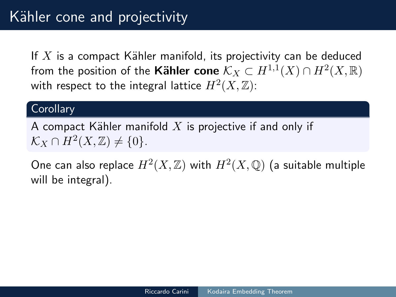If  $X$  is a compact Kähler manifold, its projectivity can be deduced from the position of the **Kähler cone**  $\mathcal{K}_X \subset H^{1,1}(X) \cap H^2(X,\mathbb{R})$ with respect to the integral lattice  $H^2(X,\mathbb{Z})$ :

#### **Corollary**

A compact Kähler manifold  $X$  is projective if and only if  $\mathcal{K}_X \cap H^2(X,\mathbb{Z}) \neq \{0\}.$ 

One can also replace  $H^2(X,\mathbb{Z})$  with  $H^2(X,\mathbb{Q})$  (a suitable multiple will be integral).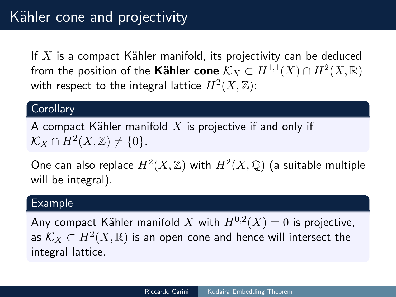If  $X$  is a compact Kähler manifold, its projectivity can be deduced from the position of the **Kähler cone**  $\mathcal{K}_X \subset H^{1,1}(X) \cap H^2(X,\mathbb{R})$ with respect to the integral lattice  $H^2(X,\mathbb{Z})$ :

#### **Corollary**

A compact Kähler manifold  $X$  is projective if and only if  $\mathcal{K}_X \cap H^2(X,\mathbb{Z}) \neq \{0\}.$ 

One can also replace  $H^2(X,\mathbb{Z})$  with  $H^2(X,\mathbb{Q})$  (a suitable multiple will be integral).

#### Example

Any compact Kähler manifold  $X$  with  $H^{0,2}(X)=0$  is projective, as  $\mathcal{K}_X \subset H^2(X,\mathbb{R})$  is an open cone and hence will intersect the integral lattice.